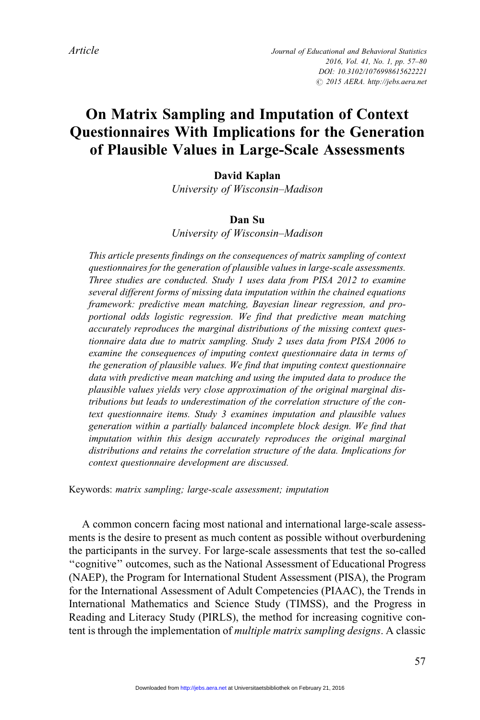# On Matrix Sampling and Imputation of Context Questionnaires With Implications for the Generation of Plausible Values in Large-Scale Assessments

## David Kaplan

University of Wisconsin–Madison

## Dan Su

University of Wisconsin–Madison

This article presents findings on the consequences of matrix sampling of context questionnaires for the generation of plausible values in large-scale assessments. Three studies are conducted. Study 1 uses data from PISA 2012 to examine several different forms of missing data imputation within the chained equations framework: predictive mean matching, Bayesian linear regression, and proportional odds logistic regression. We find that predictive mean matching accurately reproduces the marginal distributions of the missing context questionnaire data due to matrix sampling. Study 2 uses data from PISA 2006 to examine the consequences of imputing context questionnaire data in terms of the generation of plausible values. We find that imputing context questionnaire data with predictive mean matching and using the imputed data to produce the plausible values yields very close approximation of the original marginal distributions but leads to underestimation of the correlation structure of the context questionnaire items. Study 3 examines imputation and plausible values generation within a partially balanced incomplete block design. We find that imputation within this design accurately reproduces the original marginal distributions and retains the correlation structure of the data. Implications for context questionnaire development are discussed.

Keywords: matrix sampling; large-scale assessment; imputation

A common concern facing most national and international large-scale assessments is the desire to present as much content as possible without overburdening the participants in the survey. For large-scale assessments that test the so-called ''cognitive'' outcomes, such as the National Assessment of Educational Progress (NAEP), the Program for International Student Assessment (PISA), the Program for the International Assessment of Adult Competencies (PIAAC), the Trends in International Mathematics and Science Study (TIMSS), and the Progress in Reading and Literacy Study (PIRLS), the method for increasing cognitive content is through the implementation of *multiple matrix sampling designs*. A classic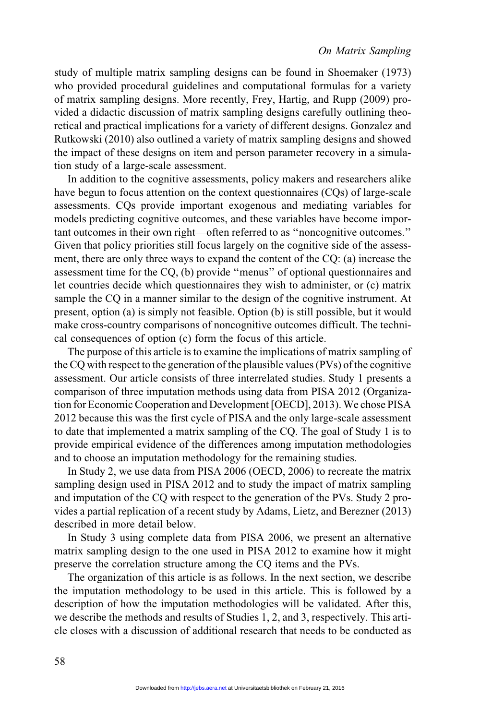study of multiple matrix sampling designs can be found in Shoemaker (1973) who provided procedural guidelines and computational formulas for a variety of matrix sampling designs. More recently, Frey, Hartig, and Rupp (2009) provided a didactic discussion of matrix sampling designs carefully outlining theoretical and practical implications for a variety of different designs. Gonzalez and Rutkowski (2010) also outlined a variety of matrix sampling designs and showed the impact of these designs on item and person parameter recovery in a simulation study of a large-scale assessment.

In addition to the cognitive assessments, policy makers and researchers alike have begun to focus attention on the context questionnaires (CQs) of large-scale assessments. CQs provide important exogenous and mediating variables for models predicting cognitive outcomes, and these variables have become important outcomes in their own right—often referred to as ''noncognitive outcomes.'' Given that policy priorities still focus largely on the cognitive side of the assessment, there are only three ways to expand the content of the CQ: (a) increase the assessment time for the CQ, (b) provide ''menus'' of optional questionnaires and let countries decide which questionnaires they wish to administer, or (c) matrix sample the CQ in a manner similar to the design of the cognitive instrument. At present, option (a) is simply not feasible. Option (b) is still possible, but it would make cross-country comparisons of noncognitive outcomes difficult. The technical consequences of option (c) form the focus of this article.

The purpose of this article is to examine the implications of matrix sampling of the CQ with respect to the generation of the plausible values (PVs) of the cognitive assessment. Our article consists of three interrelated studies. Study 1 presents a comparison of three imputation methods using data from PISA 2012 (Organization for Economic Cooperation and Development [OECD], 2013). We chose PISA 2012 because this was the first cycle of PISA and the only large-scale assessment to date that implemented a matrix sampling of the CQ. The goal of Study 1 is to provide empirical evidence of the differences among imputation methodologies and to choose an imputation methodology for the remaining studies.

In Study 2, we use data from PISA 2006 (OECD, 2006) to recreate the matrix sampling design used in PISA 2012 and to study the impact of matrix sampling and imputation of the CQ with respect to the generation of the PVs. Study 2 provides a partial replication of a recent study by Adams, Lietz, and Berezner (2013) described in more detail below.

In Study 3 using complete data from PISA 2006, we present an alternative matrix sampling design to the one used in PISA 2012 to examine how it might preserve the correlation structure among the CQ items and the PVs.

The organization of this article is as follows. In the next section, we describe the imputation methodology to be used in this article. This is followed by a description of how the imputation methodologies will be validated. After this, we describe the methods and results of Studies 1, 2, and 3, respectively. This article closes with a discussion of additional research that needs to be conducted as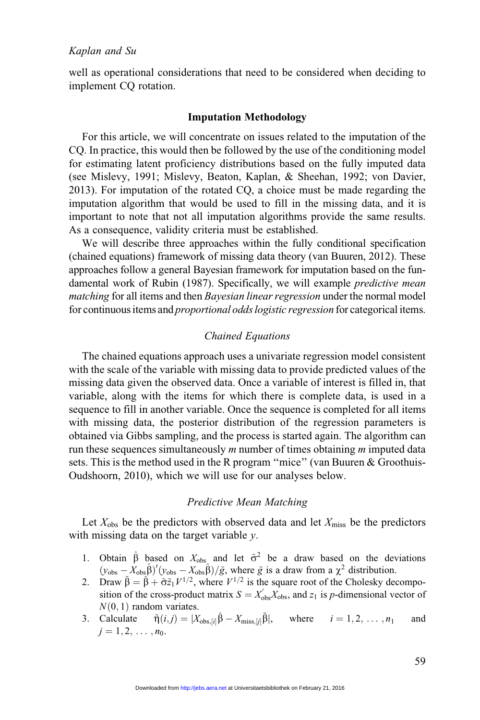well as operational considerations that need to be considered when deciding to implement CQ rotation.

#### Imputation Methodology

For this article, we will concentrate on issues related to the imputation of the CQ. In practice, this would then be followed by the use of the conditioning model for estimating latent proficiency distributions based on the fully imputed data (see Mislevy, 1991; Mislevy, Beaton, Kaplan, & Sheehan, 1992; von Davier, 2013). For imputation of the rotated CQ, a choice must be made regarding the imputation algorithm that would be used to fill in the missing data, and it is important to note that not all imputation algorithms provide the same results. As a consequence, validity criteria must be established.

We will describe three approaches within the fully conditional specification (chained equations) framework of missing data theory (van Buuren, 2012). These approaches follow a general Bayesian framework for imputation based on the fundamental work of Rubin (1987). Specifically, we will example *predictive mean* matching for all items and then Bayesian linear regression under the normal model for continuous items and *proportional odds logistic regression* for categorical items.

## Chained Equations

The chained equations approach uses a univariate regression model consistent with the scale of the variable with missing data to provide predicted values of the missing data given the observed data. Once a variable of interest is filled in, that variable, along with the items for which there is complete data, is used in a sequence to fill in another variable. Once the sequence is completed for all items with missing data, the posterior distribution of the regression parameters is obtained via Gibbs sampling, and the process is started again. The algorithm can run these sequences simultaneously  $m$  number of times obtaining  $m$  imputed data sets. This is the method used in the R program ''mice'' (van Buuren & Groothuis-Oudshoorn, 2010), which we will use for our analyses below.

#### Predictive Mean Matching

Let  $X_{obs}$  be the predictors with observed data and let  $X_{miss}$  be the predictors with missing data on the target variable  $\nu$ .

- 1. Obtain  $\hat{\beta}$  based on  $X_{obs}$  and let  $\tilde{\sigma}^2$  be a draw based on the deviations  $(y_{obs} - X_{obs}\hat{\beta})'(y_{obs} - X_{obs}\hat{\beta})/\tilde{g}$ , where  $\tilde{g}$  is a draw from a  $\chi^2$  distribution.
- 2. Draw  $\tilde{\beta} = \hat{\beta} + \tilde{\sigma} \tilde{z}_1 V^{1/2}$ , where  $V^{1/2}$  is the square root of the Cholesky decomposition of the cross-product matrix  $S = X'_{obs}X_{obs}$ , and  $z_1$  is p-dimensional vector of  $N(0, 1)$  random variates.
- 3. Calculate  $\tilde{\eta}(i,j) = |X_{obs,[i]}\hat{\beta} X_{miss,[j]}\tilde{\beta}$ where  $i = 1, 2, \ldots, n_1$  and  $j = 1, 2, \ldots, n_0.$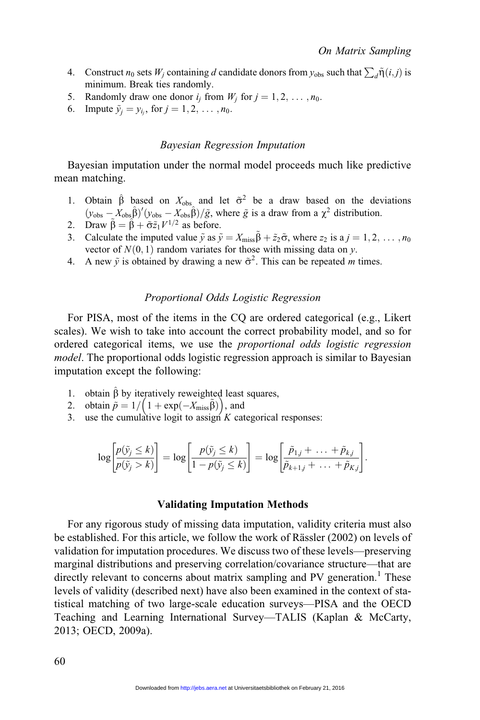- 4. Construct  $n_0$  sets  $W_j$  containing d candidate donors from  $y_{obs}$  such that  $\sum_d \tilde{\eta}(i,j)$  is minimum. Break ties randomly.
- 5. Randomly draw one donor  $i_j$  from  $W_j$  for  $j = 1, 2, \ldots, n_0$ .
- 6. Impute  $\tilde{y}_j = y_{i_j}$ , for  $j = 1, 2, ..., n_0$ .

#### Bayesian Regression Imputation

Bayesian imputation under the normal model proceeds much like predictive mean matching.

- 1. Obtain  $\hat{\beta}$  based on  $X_{obs}$  and let  $\tilde{\sigma}^2$  be a draw based on the deviations  $(y_{obs} - X_{obs}\hat{\beta})'(y_{obs} - X_{obs}\hat{\beta})/\tilde{g}$ , where  $\tilde{g}$  is a draw from a  $\chi^2$  distribution.
- 2. Draw  $\tilde{\beta} = \hat{\beta} + \tilde{\sigma} \tilde{z}_1 V^{1/2}$  as before.
- 3. Calculate the imputed value  $\tilde{y}$  as  $\tilde{y} = X_{\text{miss}}\tilde{\beta} + \tilde{z}_2\tilde{\sigma}$ , where  $z_2$  is a  $j = 1, 2, ..., n_0$ vector of  $N(0, 1)$  random variates for those with missing data on y.
- 4. A new  $\tilde{y}$  is obtained by drawing a new  $\tilde{\sigma}^2$ . This can be repeated m times.

## Proportional Odds Logistic Regression

For PISA, most of the items in the CQ are ordered categorical (e.g., Likert scales). We wish to take into account the correct probability model, and so for ordered categorical items, we use the proportional odds logistic regression model. The proportional odds logistic regression approach is similar to Bayesian imputation except the following:

- 1. obtain  $\hat{\beta}$  by iteratively reweighted least squares,
- 2. obtain  $\tilde{p} = 1/\left(1 + \exp(-X_{\text{miss}}\tilde{\beta})\right)$ , and
- 3. use the cumulative logit to assign  $K$  categorical responses:

$$
\log \left[\frac{p(\tilde{y}_j \leq k)}{p(\tilde{y}_j > k)}\right] = \log \left[\frac{p(\tilde{y}_j \leq k)}{1 - p(\tilde{y}_j \leq k)}\right] = \log \left[\frac{\tilde{p}_{1,j} + \ldots + \tilde{p}_{k,j}}{\tilde{p}_{k+1,j} + \ldots + \tilde{p}_{k,j}}\right].
$$

#### Validating Imputation Methods

For any rigorous study of missing data imputation, validity criteria must also be established. For this article, we follow the work of Rässler (2002) on levels of validation for imputation procedures. We discuss two of these levels—preserving marginal distributions and preserving correlation/covariance structure—that are directly relevant to concerns about matrix sampling and PV generation.<sup>1</sup> These levels of validity (described next) have also been examined in the context of statistical matching of two large-scale education surveys—PISA and the OECD Teaching and Learning International Survey—TALIS (Kaplan & McCarty, 2013; OECD, 2009a).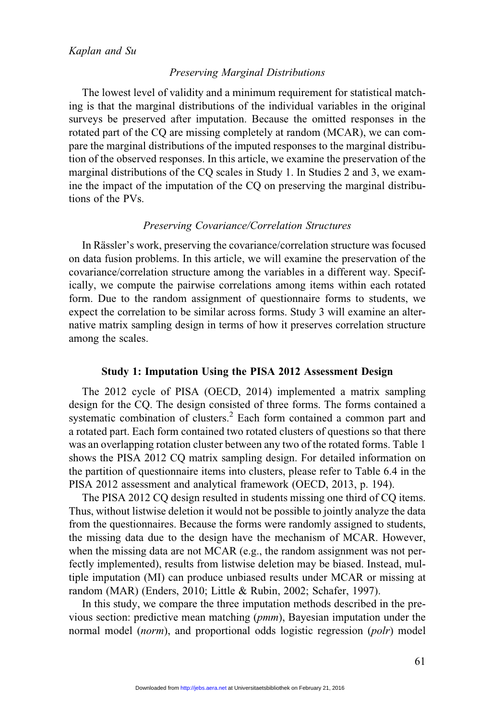## Preserving Marginal Distributions

The lowest level of validity and a minimum requirement for statistical matching is that the marginal distributions of the individual variables in the original surveys be preserved after imputation. Because the omitted responses in the rotated part of the CQ are missing completely at random (MCAR), we can compare the marginal distributions of the imputed responses to the marginal distribution of the observed responses. In this article, we examine the preservation of the marginal distributions of the CQ scales in Study 1. In Studies 2 and 3, we examine the impact of the imputation of the CQ on preserving the marginal distributions of the PVs.

#### Preserving Covariance/Correlation Structures

In Rässler's work, preserving the covariance/correlation structure was focused on data fusion problems. In this article, we will examine the preservation of the covariance/correlation structure among the variables in a different way. Specifically, we compute the pairwise correlations among items within each rotated form. Due to the random assignment of questionnaire forms to students, we expect the correlation to be similar across forms. Study 3 will examine an alternative matrix sampling design in terms of how it preserves correlation structure among the scales.

## Study 1: Imputation Using the PISA 2012 Assessment Design

The 2012 cycle of PISA (OECD, 2014) implemented a matrix sampling design for the CQ. The design consisted of three forms. The forms contained a systematic combination of clusters.<sup>2</sup> Each form contained a common part and a rotated part. Each form contained two rotated clusters of questions so that there was an overlapping rotation cluster between any two of the rotated forms. Table 1 shows the PISA 2012 CQ matrix sampling design. For detailed information on the partition of questionnaire items into clusters, please refer to Table 6.4 in the PISA 2012 assessment and analytical framework (OECD, 2013, p. 194).

The PISA 2012 CQ design resulted in students missing one third of CQ items. Thus, without listwise deletion it would not be possible to jointly analyze the data from the questionnaires. Because the forms were randomly assigned to students, the missing data due to the design have the mechanism of MCAR. However, when the missing data are not MCAR (e.g., the random assignment was not perfectly implemented), results from listwise deletion may be biased. Instead, multiple imputation (MI) can produce unbiased results under MCAR or missing at random (MAR) (Enders, 2010; Little & Rubin, 2002; Schafer, 1997).

In this study, we compare the three imputation methods described in the previous section: predictive mean matching (pmm), Bayesian imputation under the normal model (*norm*), and proportional odds logistic regression (*polr*) model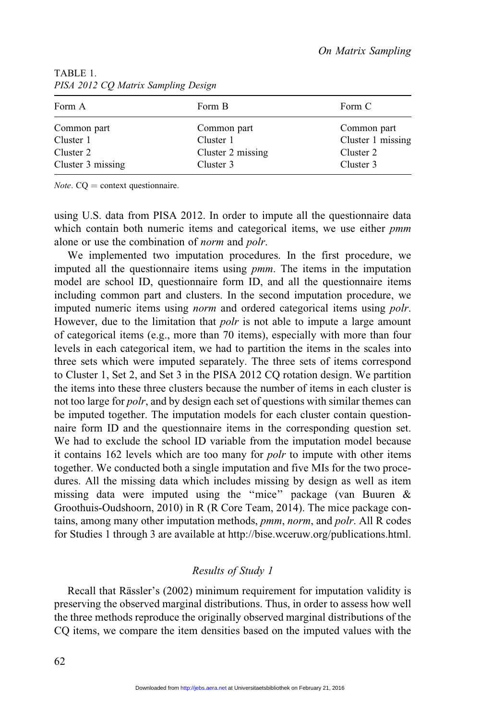| Form A                   | Form B                   | Form C                           |
|--------------------------|--------------------------|----------------------------------|
| Common part<br>Cluster 1 | Common part<br>Cluster 1 | Common part<br>Cluster 1 missing |
| Cluster 2                | Cluster 2 missing        | Cluster 2                        |
| Cluster 3 missing        | Cluster 3                | Cluster 3                        |

TABLE 1. PISA 2012 CQ Matrix Sampling Design

*Note.*  $CQ =$  context questionnaire.

using U.S. data from PISA 2012. In order to impute all the questionnaire data which contain both numeric items and categorical items, we use either *pmm* alone or use the combination of norm and polr.

We implemented two imputation procedures. In the first procedure, we imputed all the questionnaire items using *pmm*. The items in the imputation model are school ID, questionnaire form ID, and all the questionnaire items including common part and clusters. In the second imputation procedure, we imputed numeric items using *norm* and ordered categorical items using *polr*. However, due to the limitation that *polr* is not able to impute a large amount of categorical items (e.g., more than 70 items), especially with more than four levels in each categorical item, we had to partition the items in the scales into three sets which were imputed separately. The three sets of items correspond to Cluster 1, Set 2, and Set 3 in the PISA 2012 CQ rotation design. We partition the items into these three clusters because the number of items in each cluster is not too large for *polr*, and by design each set of questions with similar themes can be imputed together. The imputation models for each cluster contain questionnaire form ID and the questionnaire items in the corresponding question set. We had to exclude the school ID variable from the imputation model because it contains 162 levels which are too many for polr to impute with other items together. We conducted both a single imputation and five MIs for the two procedures. All the missing data which includes missing by design as well as item missing data were imputed using the "mice" package (van Buuren  $\&$ Groothuis-Oudshoorn, 2010) in R (R Core Team, 2014). The mice package contains, among many other imputation methods, *pmm, norm*, and *polr*. All R codes for Studies 1 through 3 are available at http://bise.wceruw.org/publications.html.

## Results of Study 1

Recall that Rässler's (2002) minimum requirement for imputation validity is preserving the observed marginal distributions. Thus, in order to assess how well the three methods reproduce the originally observed marginal distributions of the CQ items, we compare the item densities based on the imputed values with the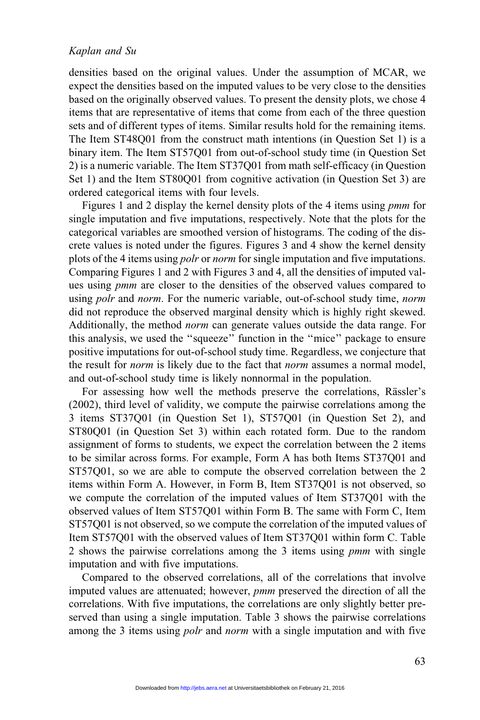densities based on the original values. Under the assumption of MCAR, we expect the densities based on the imputed values to be very close to the densities based on the originally observed values. To present the density plots, we chose 4 items that are representative of items that come from each of the three question sets and of different types of items. Similar results hold for the remaining items. The Item ST48Q01 from the construct math intentions (in Question Set 1) is a binary item. The Item ST57Q01 from out-of-school study time (in Question Set 2) is a numeric variable. The Item ST37Q01 from math self-efficacy (in Question Set 1) and the Item ST80Q01 from cognitive activation (in Question Set 3) are ordered categorical items with four levels.

Figures 1 and 2 display the kernel density plots of the 4 items using pmm for single imputation and five imputations, respectively. Note that the plots for the categorical variables are smoothed version of histograms. The coding of the discrete values is noted under the figures. Figures 3 and 4 show the kernel density plots of the 4 items using *polr* or *norm* for single imputation and five imputations. Comparing Figures 1 and 2 with Figures 3 and 4, all the densities of imputed values using *pmm* are closer to the densities of the observed values compared to using polr and norm. For the numeric variable, out-of-school study time, norm did not reproduce the observed marginal density which is highly right skewed. Additionally, the method *norm* can generate values outside the data range. For this analysis, we used the ''squeeze'' function in the ''mice'' package to ensure positive imputations for out-of-school study time. Regardless, we conjecture that the result for *norm* is likely due to the fact that *norm* assumes a normal model, and out-of-school study time is likely nonnormal in the population.

For assessing how well the methods preserve the correlations, Rässler's (2002), third level of validity, we compute the pairwise correlations among the 3 items ST37Q01 (in Question Set 1), ST57Q01 (in Question Set 2), and ST80Q01 (in Question Set 3) within each rotated form. Due to the random assignment of forms to students, we expect the correlation between the 2 items to be similar across forms. For example, Form A has both Items ST37Q01 and ST57Q01, so we are able to compute the observed correlation between the 2 items within Form A. However, in Form B, Item ST37Q01 is not observed, so we compute the correlation of the imputed values of Item ST37Q01 with the observed values of Item ST57Q01 within Form B. The same with Form C, Item ST57Q01 is not observed, so we compute the correlation of the imputed values of Item ST57Q01 with the observed values of Item ST37Q01 within form C. Table 2 shows the pairwise correlations among the 3 items using *pmm* with single imputation and with five imputations.

Compared to the observed correlations, all of the correlations that involve imputed values are attenuated; however, *pmm* preserved the direction of all the correlations. With five imputations, the correlations are only slightly better preserved than using a single imputation. Table 3 shows the pairwise correlations among the 3 items using *polr* and *norm* with a single imputation and with five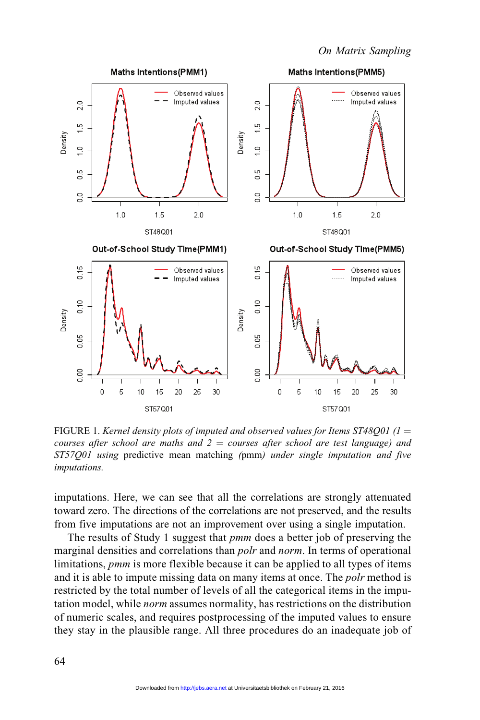

FIGURE 1. Kernel density plots of imputed and observed values for Items  $ST48Q01$  (1 = courses after school are maths and  $2 =$  courses after school are test language) and ST57Q01 using predictive mean matching (pmm) under single imputation and five imputations.

imputations. Here, we can see that all the correlations are strongly attenuated toward zero. The directions of the correlations are not preserved, and the results from five imputations are not an improvement over using a single imputation.

The results of Study 1 suggest that *pmm* does a better job of preserving the marginal densities and correlations than *polr* and *norm*. In terms of operational limitations, *pmm* is more flexible because it can be applied to all types of items and it is able to impute missing data on many items at once. The *polr* method is restricted by the total number of levels of all the categorical items in the imputation model, while norm assumes normality, has restrictions on the distribution of numeric scales, and requires postprocessing of the imputed values to ensure they stay in the plausible range. All three procedures do an inadequate job of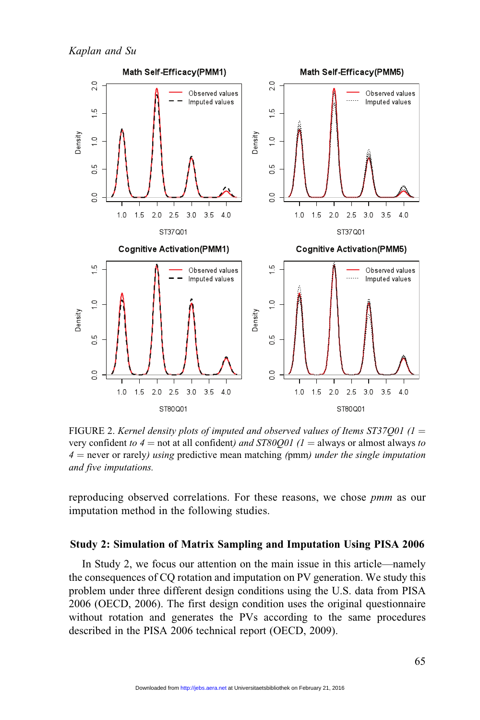

FIGURE 2. Kernel density plots of imputed and observed values of Items ST37Q01 (1 = very confident to  $4 =$  not at all confident) and ST80Q01 (1 = always or almost always to  $4 =$  never or rarely) using predictive mean matching (pmm) under the single imputation and five imputations.

reproducing observed correlations. For these reasons, we chose pmm as our imputation method in the following studies.

#### Study 2: Simulation of Matrix Sampling and Imputation Using PISA 2006

In Study 2, we focus our attention on the main issue in this article—namely the consequences of CQ rotation and imputation on PV generation. We study this problem under three different design conditions using the U.S. data from PISA 2006 (OECD, 2006). The first design condition uses the original questionnaire without rotation and generates the PVs according to the same procedures described in the PISA 2006 technical report (OECD, 2009).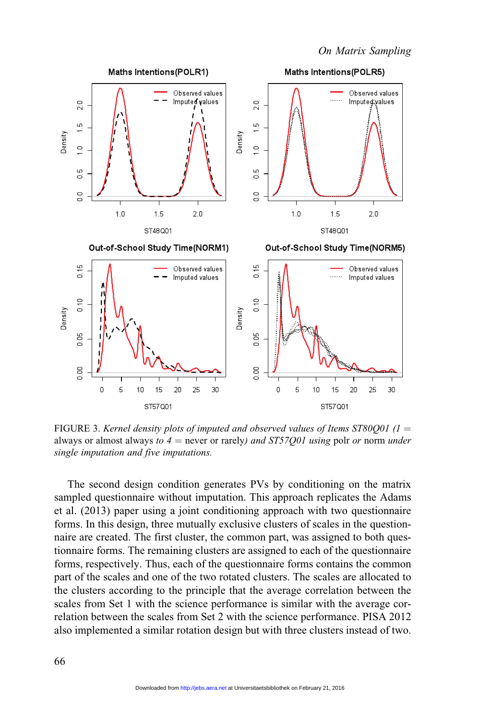

FIGURE 3. Kernel density plots of imputed and observed values of Items  $ST80001$  (1 = always or almost always to  $4 =$  never or rarely) and ST57Q01 using polr or norm under single imputation and five imputations.

The second design condition generates PVs by conditioning on the matrix sampled questionnaire without imputation. This approach replicates the Adams et al. (2013) paper using a joint conditioning approach with two questionnaire forms. In this design, three mutually exclusive clusters of scales in the questionnaire are created. The first cluster, the common part, was assigned to both questionnaire forms. The remaining clusters are assigned to each of the questionnaire forms, respectively. Thus, each of the questionnaire forms contains the common part of the scales and one of the two rotated clusters. The scales are allocated to the clusters according to the principle that the average correlation between the scales from Set 1 with the science performance is similar with the average correlation between the scales from Set 2 with the science performance. PISA 2012 also implemented a similar rotation design but with three clusters instead of two.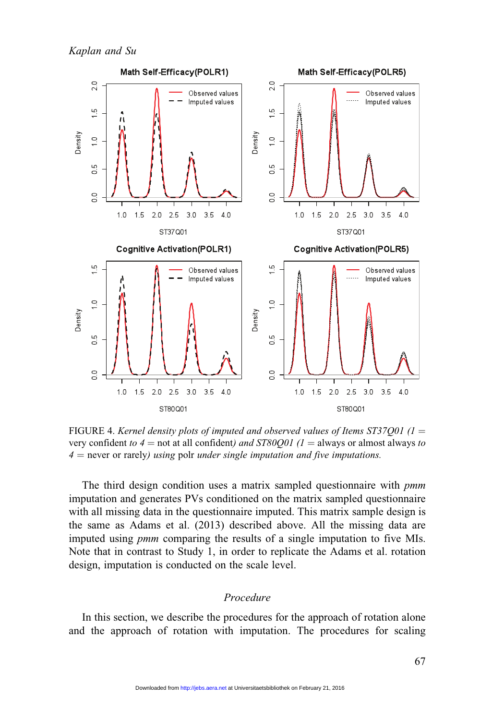

FIGURE 4. Kernel density plots of imputed and observed values of Items ST37Q01 (1 = very confident to  $4 =$  not at all confident) and ST80Q01 (1 = always or almost always to  $4$  = never or rarely) using polr under single imputation and five imputations.

The third design condition uses a matrix sampled questionnaire with *pmm* imputation and generates PVs conditioned on the matrix sampled questionnaire with all missing data in the questionnaire imputed. This matrix sample design is the same as Adams et al. (2013) described above. All the missing data are imputed using pmm comparing the results of a single imputation to five MIs. Note that in contrast to Study 1, in order to replicate the Adams et al. rotation design, imputation is conducted on the scale level.

## Procedure

In this section, we describe the procedures for the approach of rotation alone and the approach of rotation with imputation. The procedures for scaling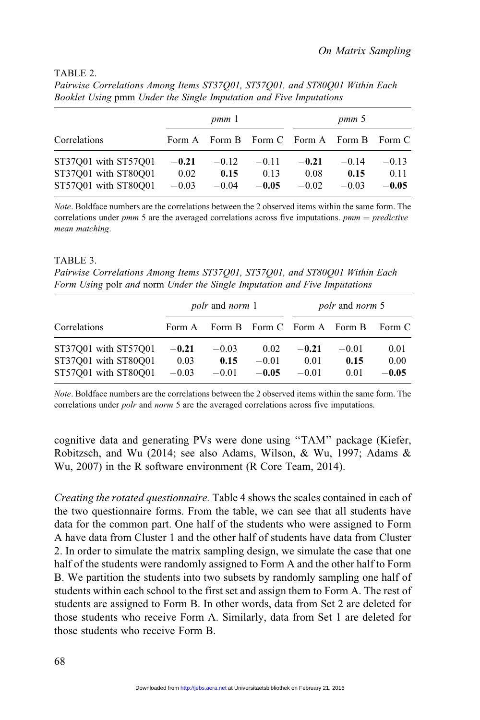## TABLE 2.

|                                                                      |                            | <i>pmm</i> 1               |                                           | pmm 5                      |                            |                            |  |  |  |
|----------------------------------------------------------------------|----------------------------|----------------------------|-------------------------------------------|----------------------------|----------------------------|----------------------------|--|--|--|
| Correlations                                                         |                            |                            | Form A Form B Form C Form A Form B Form C |                            |                            |                            |  |  |  |
| ST37001 with ST57001<br>ST37Q01 with ST80Q01<br>ST57001 with ST80001 | $-0.21$<br>0.02<br>$-0.03$ | $-0.12$<br>0.15<br>$-0.04$ | $-0.11$<br>0.13<br>$-0.05$                | $-0.21$<br>0.08<br>$-0.02$ | $-0.14$<br>0.15<br>$-0.03$ | $-0.13$<br>0.11<br>$-0.05$ |  |  |  |

Pairwise Correlations Among Items ST37Q01, ST57Q01, and ST80Q01 Within Each Booklet Using pmm Under the Single Imputation and Five Imputations

Note. Boldface numbers are the correlations between the 2 observed items within the same form. The correlations under pmm 5 are the averaged correlations across five imputations.  $pmm = predictive$ mean matching.

## TABLE 3.

Pairwise Correlations Among Items ST37Q01, ST57Q01, and ST80Q01 Within Each Form Using polr and norm Under the Single Imputation and Five Imputations

|                                                                      |                            | <i>polr</i> and <i>norm</i> 1 |                             | <i>polr</i> and <i>norm</i> 5 |                         |                         |  |  |  |
|----------------------------------------------------------------------|----------------------------|-------------------------------|-----------------------------|-------------------------------|-------------------------|-------------------------|--|--|--|
| Correlations                                                         | Form A                     |                               | Form B Form C Form A Form B |                               |                         | Form C                  |  |  |  |
| ST37001 with ST57001<br>ST37001 with ST80001<br>ST57001 with ST80001 | $-0.21$<br>0.03<br>$-0.03$ | $-0.03$<br>0.15<br>$-0.01$    | 0.02<br>$-0.01$<br>$-0.05$  | $-0.21$<br>0.01<br>$-0.01$    | $-0.01$<br>0.15<br>0.01 | 0.01<br>0.00<br>$-0.05$ |  |  |  |

Note. Boldface numbers are the correlations between the 2 observed items within the same form. The correlations under *polr* and *norm* 5 are the averaged correlations across five imputations.

cognitive data and generating PVs were done using ''TAM'' package (Kiefer, Robitzsch, and Wu (2014; see also Adams, Wilson, & Wu, 1997; Adams & Wu, 2007) in the R software environment (R Core Team, 2014).

Creating the rotated questionnaire. Table 4 shows the scales contained in each of the two questionnaire forms. From the table, we can see that all students have data for the common part. One half of the students who were assigned to Form A have data from Cluster 1 and the other half of students have data from Cluster 2. In order to simulate the matrix sampling design, we simulate the case that one half of the students were randomly assigned to Form A and the other half to Form B. We partition the students into two subsets by randomly sampling one half of students within each school to the first set and assign them to Form A. The rest of students are assigned to Form B. In other words, data from Set 2 are deleted for those students who receive Form A. Similarly, data from Set 1 are deleted for those students who receive Form B.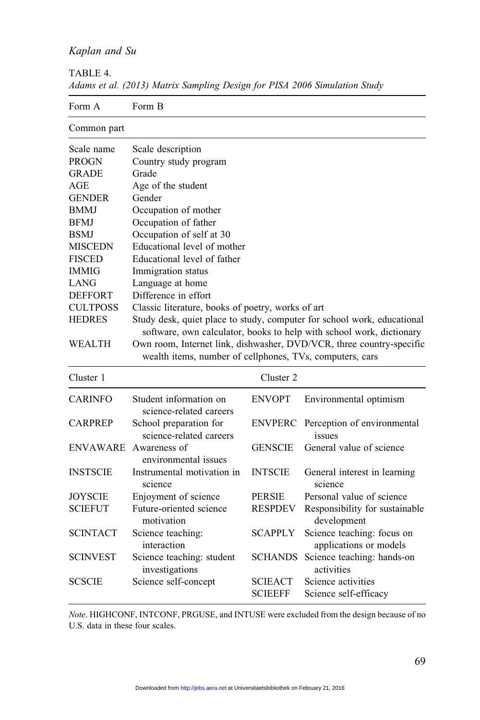TABLE 4. Adams et al. (2013) Matrix Sampling Design for PISA 2006 Simulation Study

| Form A          | Form B                                                   |                           |                                                                                                                                              |
|-----------------|----------------------------------------------------------|---------------------------|----------------------------------------------------------------------------------------------------------------------------------------------|
| Common part     |                                                          |                           |                                                                                                                                              |
| Scale name      | Scale description                                        |                           |                                                                                                                                              |
| <b>PROGN</b>    | Country study program                                    |                           |                                                                                                                                              |
| <b>GRADE</b>    | Grade                                                    |                           |                                                                                                                                              |
| AGE             | Age of the student                                       |                           |                                                                                                                                              |
| <b>GENDER</b>   | Gender                                                   |                           |                                                                                                                                              |
| BMMJ            | Occupation of mother                                     |                           |                                                                                                                                              |
| BFMJ            | Occupation of father                                     |                           |                                                                                                                                              |
| BSMJ            | Occupation of self at 30                                 |                           |                                                                                                                                              |
| MISCEDN         | Educational level of mother                              |                           |                                                                                                                                              |
| <b>FISCED</b>   | Educational level of father                              |                           |                                                                                                                                              |
| IMMIG           | Immigration status                                       |                           |                                                                                                                                              |
| LANG            | Language at home                                         |                           |                                                                                                                                              |
| <b>DEFFORT</b>  | Difference in effort                                     |                           |                                                                                                                                              |
| <b>CULTPOSS</b> | Classic literature, books of poetry, works of art        |                           |                                                                                                                                              |
| <b>HEDRES</b>   |                                                          |                           | Study desk, quiet place to study, computer for school work, educational                                                                      |
| WEALTH          | wealth items, number of cellphones, TVs, computers, cars |                           | software, own calculator, books to help with school work, dictionary<br>Own room, Internet link, dishwasher, DVD/VCR, three country-specific |
| Cluster 1       |                                                          | Cluster 2                 |                                                                                                                                              |
| <b>CARINFO</b>  | Student information on<br>science-related careers        | <b>ENVOPT</b>             | Environmental optimism                                                                                                                       |
| CARPREP         | School preparation for<br>science-related careers        | <b>ENVPERC</b>            | Perception of environmental<br>issues                                                                                                        |
| ENVAWARE        | Awareness of                                             | <b>GENSCIE</b>            | General value of science                                                                                                                     |
|                 | environmental issues                                     |                           |                                                                                                                                              |
| <b>INSTSCIE</b> | Instrumental motivation in<br>science                    | <b>INTSCIE</b>            | General interest in learning<br>science                                                                                                      |
| JOYSCIE         | Enjoyment of science                                     | <b>PERSIE</b>             | Personal value of science                                                                                                                    |
| <b>SCIEFUT</b>  | Future-oriented science<br>motivation                    | <b>RESPDEV</b>            | Responsibility for sustainable<br>development                                                                                                |
| <b>SCINTACT</b> | Science teaching:<br>interaction                         | <b>SCAPPLY</b>            | Science teaching: focus on<br>applications or models                                                                                         |
| SCINVEST        | Science teaching: student<br>investigations              | SCHANDS                   | Science teaching: hands-on<br>activities                                                                                                     |
| <b>SCSCIE</b>   | Science self-concept                                     | SCIEACT<br><b>SCIEEFF</b> | Science activities<br>Science self-efficacy                                                                                                  |

Note. HIGHCONF, INTCONF, PRGUSE, and INTUSE were excluded from the design because of no U.S. data in these four scales.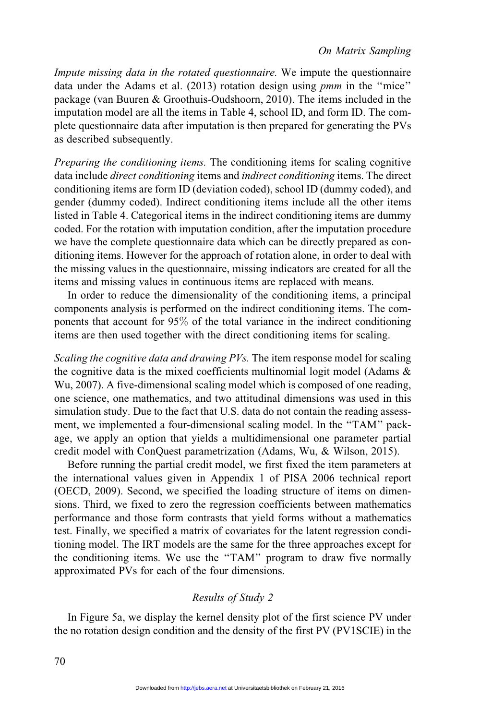Impute missing data in the rotated questionnaire. We impute the questionnaire data under the Adams et al. (2013) rotation design using *pmm* in the "mice" package (van Buuren & Groothuis-Oudshoorn, 2010). The items included in the imputation model are all the items in Table 4, school ID, and form ID. The complete questionnaire data after imputation is then prepared for generating the PVs as described subsequently.

Preparing the conditioning items. The conditioning items for scaling cognitive data include *direct conditioning* items and *indirect conditioning* items. The direct conditioning items are form ID (deviation coded), school ID (dummy coded), and gender (dummy coded). Indirect conditioning items include all the other items listed in Table 4. Categorical items in the indirect conditioning items are dummy coded. For the rotation with imputation condition, after the imputation procedure we have the complete questionnaire data which can be directly prepared as conditioning items. However for the approach of rotation alone, in order to deal with the missing values in the questionnaire, missing indicators are created for all the items and missing values in continuous items are replaced with means.

In order to reduce the dimensionality of the conditioning items, a principal components analysis is performed on the indirect conditioning items. The components that account for 95% of the total variance in the indirect conditioning items are then used together with the direct conditioning items for scaling.

Scaling the cognitive data and drawing  $PVs$ . The item response model for scaling the cognitive data is the mixed coefficients multinomial logit model (Adams & Wu, 2007). A five-dimensional scaling model which is composed of one reading, one science, one mathematics, and two attitudinal dimensions was used in this simulation study. Due to the fact that U.S. data do not contain the reading assessment, we implemented a four-dimensional scaling model. In the ''TAM'' package, we apply an option that yields a multidimensional one parameter partial credit model with ConQuest parametrization (Adams, Wu, & Wilson, 2015).

Before running the partial credit model, we first fixed the item parameters at the international values given in Appendix 1 of PISA 2006 technical report (OECD, 2009). Second, we specified the loading structure of items on dimensions. Third, we fixed to zero the regression coefficients between mathematics performance and those form contrasts that yield forms without a mathematics test. Finally, we specified a matrix of covariates for the latent regression conditioning model. The IRT models are the same for the three approaches except for the conditioning items. We use the ''TAM'' program to draw five normally approximated PVs for each of the four dimensions.

## Results of Study 2

In Figure 5a, we display the kernel density plot of the first science PV under the no rotation design condition and the density of the first PV (PV1SCIE) in the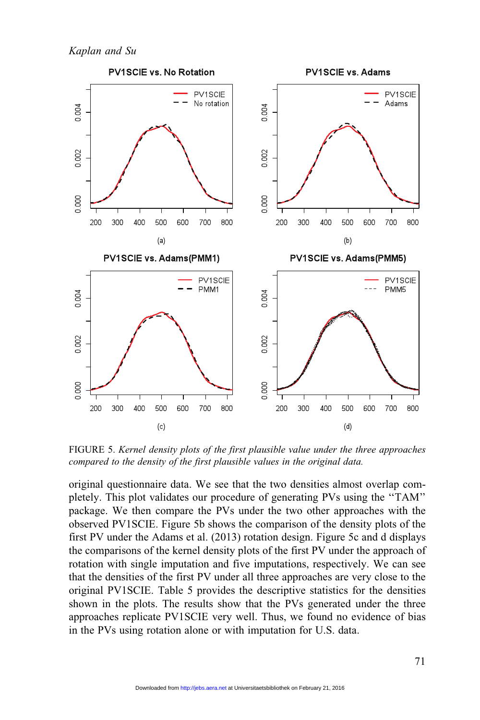

FIGURE 5. Kernel density plots of the first plausible value under the three approaches compared to the density of the first plausible values in the original data.

original questionnaire data. We see that the two densities almost overlap completely. This plot validates our procedure of generating PVs using the ''TAM'' package. We then compare the PVs under the two other approaches with the observed PV1SCIE. Figure 5b shows the comparison of the density plots of the first PV under the Adams et al. (2013) rotation design. Figure 5c and d displays the comparisons of the kernel density plots of the first PV under the approach of rotation with single imputation and five imputations, respectively. We can see that the densities of the first PV under all three approaches are very close to the original PV1SCIE. Table 5 provides the descriptive statistics for the densities shown in the plots. The results show that the PVs generated under the three approaches replicate PV1SCIE very well. Thus, we found no evidence of bias in the PVs using rotation alone or with imputation for U.S. data.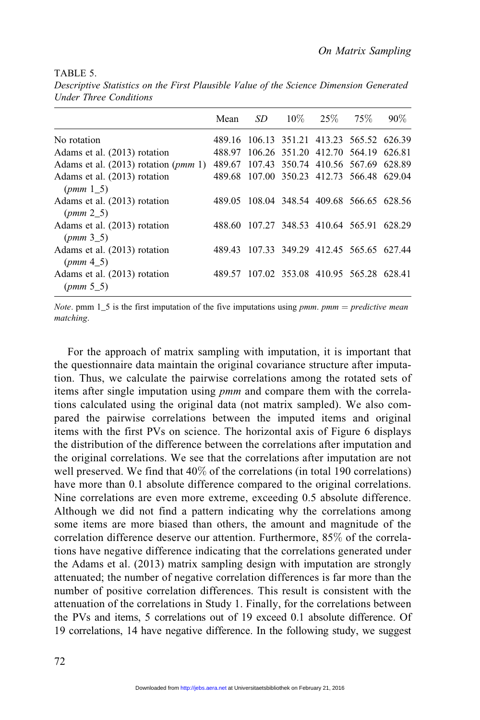#### TABLE 5.

|                                                | Mean   | SD. | $10\% - 25\%$                      | 75%                                | 90%    |
|------------------------------------------------|--------|-----|------------------------------------|------------------------------------|--------|
| No rotation                                    | 489.16 |     |                                    | 106.13 351.21 413.23 565.52 626.39 |        |
| Adams et al. (2013) rotation                   |        |     | 488.97 106.26 351.20 412.70 564.19 |                                    | 626.81 |
| Adams et al. $(2013)$ rotation ( <i>pmm</i> 1) |        |     | 489.67 107.43 350.74 410.56 567.69 |                                    | 628.89 |
| Adams et al. (2013) rotation<br>$(pmm 1_5)$    | 489.68 |     |                                    | 107.00 350.23 412.73 566.48        | 629.04 |
| Adams et al. (2013) rotation<br>$(pmm 2_5)$    | 489.05 |     |                                    | 108.04 348.54 409.68 566.65 628.56 |        |
| Adams et al. (2013) rotation<br>$(pmm 3_5)$    |        |     |                                    | 488.60 107.27 348.53 410.64 565.91 | 628.29 |
| Adams et al. (2013) rotation<br>$(pmm 4_5)$    | 489.43 |     |                                    | 107.33 349.29 412.45 565.65 627.44 |        |
| Adams et al. (2013) rotation<br>$(pmm 5_5)$    | 489.57 |     |                                    | 107.02 353.08 410.95 565.28 628.41 |        |

Descriptive Statistics on the First Plausible Value of the Science Dimension Generated Under Three Conditions

*Note.* pmm 1\_5 is the first imputation of the five imputations using *pmm. pmm* = *predictive mean* matching.

For the approach of matrix sampling with imputation, it is important that the questionnaire data maintain the original covariance structure after imputation. Thus, we calculate the pairwise correlations among the rotated sets of items after single imputation using pmm and compare them with the correlations calculated using the original data (not matrix sampled). We also compared the pairwise correlations between the imputed items and original items with the first PVs on science. The horizontal axis of Figure 6 displays the distribution of the difference between the correlations after imputation and the original correlations. We see that the correlations after imputation are not well preserved. We find that  $40\%$  of the correlations (in total 190 correlations) have more than 0.1 absolute difference compared to the original correlations. Nine correlations are even more extreme, exceeding 0.5 absolute difference. Although we did not find a pattern indicating why the correlations among some items are more biased than others, the amount and magnitude of the correlation difference deserve our attention. Furthermore, 85% of the correlations have negative difference indicating that the correlations generated under the Adams et al. (2013) matrix sampling design with imputation are strongly attenuated; the number of negative correlation differences is far more than the number of positive correlation differences. This result is consistent with the attenuation of the correlations in Study 1. Finally, for the correlations between the PVs and items, 5 correlations out of 19 exceed 0.1 absolute difference. Of 19 correlations, 14 have negative difference. In the following study, we suggest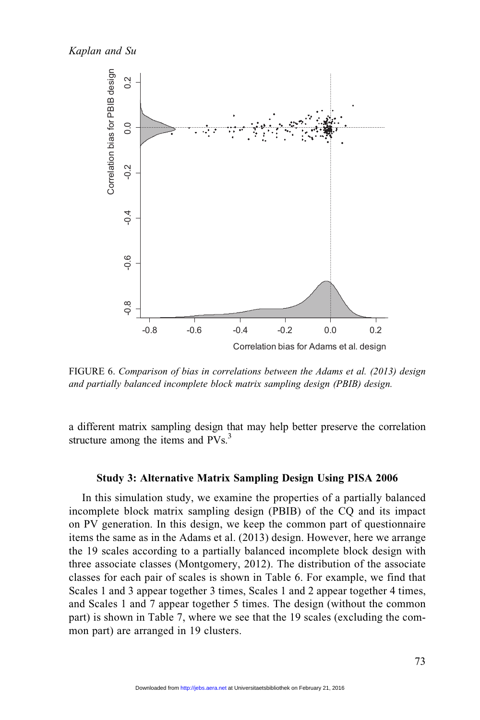

FIGURE 6. Comparison of bias in correlations between the Adams et al. (2013) design and partially balanced incomplete block matrix sampling design (PBIB) design.

a different matrix sampling design that may help better preserve the correlation structure among the items and  $PVs<sup>3</sup>$ .

## Study 3: Alternative Matrix Sampling Design Using PISA 2006

In this simulation study, we examine the properties of a partially balanced incomplete block matrix sampling design (PBIB) of the CQ and its impact on PV generation. In this design, we keep the common part of questionnaire items the same as in the Adams et al. (2013) design. However, here we arrange the 19 scales according to a partially balanced incomplete block design with three associate classes (Montgomery, 2012). The distribution of the associate classes for each pair of scales is shown in Table 6. For example, we find that Scales 1 and 3 appear together 3 times, Scales 1 and 2 appear together 4 times, and Scales 1 and 7 appear together 5 times. The design (without the common part) is shown in Table 7, where we see that the 19 scales (excluding the common part) are arranged in 19 clusters.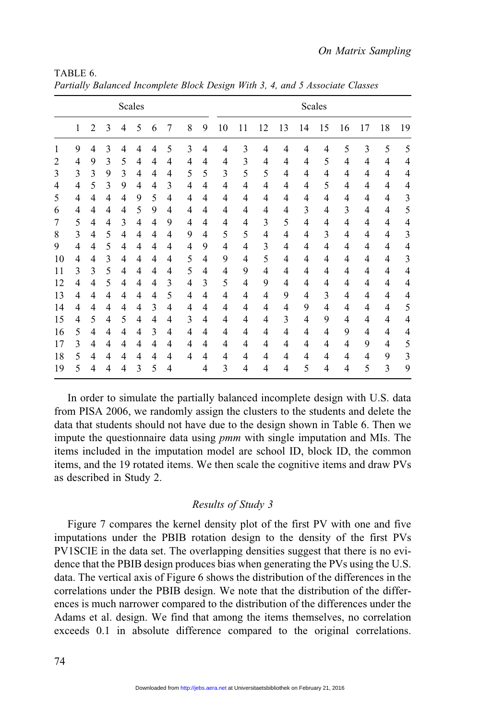| A BL |  |
|------|--|
|------|--|

Partially Balanced Incomplete Block Design With 3, 4, and 5 Associate Classes

| Scales |   |                |                |                |                |                |                |                | <b>Scales</b>  |                |                |    |    |                |                |                |    |    |                |
|--------|---|----------------|----------------|----------------|----------------|----------------|----------------|----------------|----------------|----------------|----------------|----|----|----------------|----------------|----------------|----|----|----------------|
|        | 1 | 2              | 3              | 4              | 5              | 6              | 7              | 8              | 9              | 10             | 11             | 12 | 13 | 14             | 15             | 16             | 17 | 18 | 19             |
| 1      | 9 | 4              | 3              | 4              | 4              | 4              | 5              | 3              | $\overline{4}$ | 4              | 3              | 4  | 4  | 4              | 4              | 5              | 3  | 5  | 5              |
| 2      | 4 | 9              | 3              | 5              | 4              | 4              | 4              | $\overline{4}$ | 4              | 4              | 3              | 4  | 4  | 4              | 5              | 4              | 4  | 4  | $\overline{4}$ |
| 3      | 3 | 3              | 9              | 3              | 4              | 4              | 4              | 5              | 5              | 3              | 5              | 5  | 4  | 4              | $\overline{4}$ | 4              | 4  | 4  | 4              |
| 4      | 4 | 5              | 3              | 9              | 4              | 4              | 3              | $\overline{4}$ | $\overline{4}$ | 4              | $\overline{4}$ | 4  | 4  | 4              | 5              | $\overline{4}$ | 4  | 4  | 4              |
| 5      | 4 | $\overline{4}$ | 4              | 4              | 9              | 5              | $\overline{4}$ | $\overline{4}$ | $\overline{4}$ | 4              | $\overline{4}$ | 4  | 4  | $\overline{4}$ | 4              | 4              | 4  | 4  | 3              |
| 6      | 4 | 4              | 4              | 4              | 5              | 9              | 4              | 4              | $\overline{4}$ | 4              | $\overline{4}$ | 4  | 4  | 3              | 4              | 3              | 4  | 4  | 5              |
| 7      | 5 | $\overline{4}$ | $\overline{4}$ | 3              | $\overline{4}$ | $\overline{4}$ | 9              | 4              | $\overline{4}$ | 4              | $\overline{4}$ | 3  | 5  | 4              | 4              | 4              | 4  | 4  | $\overline{4}$ |
| 8      | 3 | 4              | 5              | 4              | 4              | 4              | 4              | 9              | 4              | 5              | 5              | 4  | 4  | 4              | 3              | 4              | 4  | 4  | 3              |
| 9      | 4 | 4              | 5              | 4              | 4              | 4              | 4              | 4              | 9              | $\overline{4}$ | $\overline{4}$ | 3  | 4  | 4              | $\overline{4}$ | 4              | 4  | 4  | 4              |
| 10     | 4 | 4              | 3              | 4              | 4              | 4              | 4              | 5              | $\overline{4}$ | 9              | 4              | 5  | 4  | 4              | 4              | 4              | 4  | 4  | 3              |
| 11     | 3 | 3              | 5              | 4              | 4              | 4              | 4              | 5              | $\overline{4}$ | 4              | 9              | 4  | 4  | $\overline{4}$ | 4              | 4              | 4  | 4  | 4              |
| 12     | 4 | 4              | 5              | $\overline{4}$ | 4              | $\overline{4}$ | 3              | 4              | 3              | 5              | 4              | 9  | 4  | 4              | $\overline{4}$ | 4              | 4  | 4  | 4              |
| 13     | 4 | 4              | $\overline{4}$ | 4              | 4              | 4              | 5              | $\overline{4}$ | $\overline{4}$ | 4              | $\overline{4}$ | 4  | 9  | 4              | 3              | 4              | 4  | 4  | 4              |
| 14     | 4 | 4              | 4              | 4              | 4              | 3              | 4              | $\overline{4}$ | 4              | $\overline{4}$ | $\overline{4}$ | 4  | 4  | 9              | $\overline{4}$ | 4              | 4  | 4  | 5              |
| 15     | 4 | 5              | 4              | 5              | 4              | 4              | 4              | 3              | $\overline{4}$ | 4              | $\overline{4}$ | 4  | 3  | $\overline{4}$ | 9              | 4              | 4  | 4  | 4              |
| 16     | 5 | 4              | 4              | 4              | 4              | 3              | 4              | $\overline{4}$ | $\overline{4}$ | 4              | $\overline{4}$ | 4  | 4  | $\overline{4}$ | 4              | 9              | 4  | 4  | 4              |
| 17     | 3 | 4              | 4              | 4              | 4              | 4              | 4              | 4              | 4              | 4              | $\overline{4}$ | 4  | 4  | 4              | 4              | 4              | 9  | 4  | 5              |
| 18     | 5 | 4              | 4              | 4              | 4              | 4              | 4              | $\overline{4}$ | 4              | $\overline{4}$ | $\overline{4}$ | 4  | 4  | 4              | $\overline{4}$ | 4              | 4  | 9  | 3              |
| 19     | 5 | 4              | 4              | 4              | 3              | 5              | 4              |                | 4              | 3              | 4              | 4  | 4  | 5              | $\overline{4}$ | $\overline{4}$ | 5  | 3  | 9              |

In order to simulate the partially balanced incomplete design with U.S. data from PISA 2006, we randomly assign the clusters to the students and delete the data that students should not have due to the design shown in Table 6. Then we impute the questionnaire data using *pmm* with single imputation and MIs. The items included in the imputation model are school ID, block ID, the common items, and the 19 rotated items. We then scale the cognitive items and draw PVs as described in Study 2.

## Results of Study 3

Figure 7 compares the kernel density plot of the first PV with one and five imputations under the PBIB rotation design to the density of the first PVs PV1SCIE in the data set. The overlapping densities suggest that there is no evidence that the PBIB design produces bias when generating the PVs using the U.S. data. The vertical axis of Figure 6 shows the distribution of the differences in the correlations under the PBIB design. We note that the distribution of the differences is much narrower compared to the distribution of the differences under the Adams et al. design. We find that among the items themselves, no correlation exceeds 0.1 in absolute difference compared to the original correlations.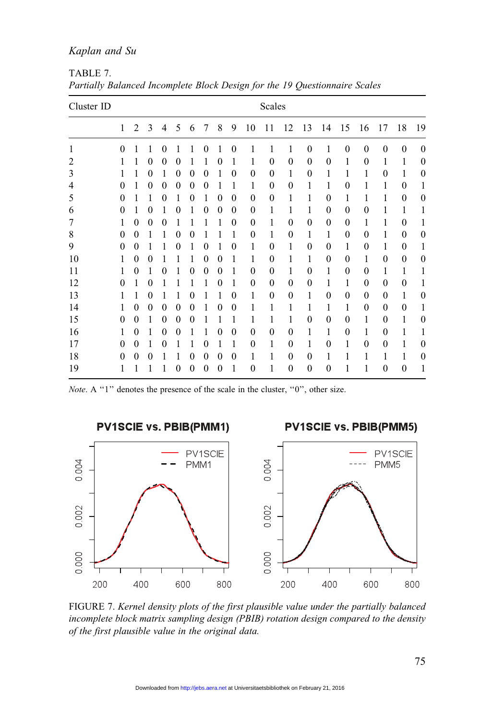| Cluster ID | Scales   |                |                  |                  |                  |   |                  |                  |                  |                  |                  |              |              |                |                  |                  |              |              |                  |
|------------|----------|----------------|------------------|------------------|------------------|---|------------------|------------------|------------------|------------------|------------------|--------------|--------------|----------------|------------------|------------------|--------------|--------------|------------------|
|            | 1        | $\overline{2}$ | 3                | 4                | 5                | 6 | 7                | 8                | 9                | 10               | 11               | 12           | 13           | 14             | 15               | 16               | 17           | 18           | 19               |
| 1          | $\Omega$ |                | 1                | $\theta$         |                  |   | 0                |                  | $\theta$         | 1                | 1                | 1            | $\theta$     | 1              | $\theta$         | $\theta$         | $\theta$     | $\theta$     | $\mathbf{0}$     |
| 2          | 1        | 1              | $\theta$         | $\theta$         | $\theta$         | 1 | 1                | $\theta$         | 1                | 1                | $\theta$         | $\theta$     | $\theta$     | $\theta$       | 1                | $\theta$         | 1            | 1            | $\theta$         |
| 3          | 1        | 1              | $\boldsymbol{0}$ | 1                | $\boldsymbol{0}$ | 0 | $\boldsymbol{0}$ | 1                | $\boldsymbol{0}$ | $\boldsymbol{0}$ | $\boldsymbol{0}$ | 1            | $\mathbf{0}$ | 1              | 1                | 1                | $\mathbf{0}$ | 1            | $\mathbf{0}$     |
| 4          | $\theta$ | 1              | $\theta$         | $\theta$         | $\theta$         | 0 | $\theta$         | 1                | 1                | 1                | $\theta$         | $\mathbf{0}$ | 1            | 1              | $\boldsymbol{0}$ | 1                | 1            | $\theta$     | 1                |
| 5          | $\theta$ | 1              | 1                | $\theta$         | 1                | 0 | 1                | $\theta$         | $\theta$         | $\theta$         | $\boldsymbol{0}$ | 1            | 1            | $\theta$       | 1                | 1                | 1            | $\theta$     | $\boldsymbol{0}$ |
| 6          | $\theta$ | 1              | $\theta$         | 1                | $\theta$         |   | $\theta$         | $\theta$         | $\theta$         | $\Omega$         | 1                | 1            | 1            | $\theta$       | $\theta$         | $\theta$         | 1            | 1            | 1                |
| 7          | 1        | $\mathbf{0}$   | $\theta$         | $\theta$         | 1                | 1 | 1                | 1                | $\mathbf{0}$     | 0                | 1                | $\theta$     | $\theta$     | $\theta$       | $\theta$         | 1                | 1            | $\mathbf{0}$ | 1                |
| 8          | $\theta$ | $\mathbf{0}$   | 1                | 1                | 0                | 0 |                  |                  | 1                | $\boldsymbol{0}$ | 1                | $\mathbf{0}$ | 1            | 1              | $\boldsymbol{0}$ | $\theta$         | 1            | $\mathbf{0}$ | $\mathbf{0}$     |
| 9          | $\theta$ | $\theta$       | 1                | 1                | $\theta$         | 1 | $\theta$         |                  | $\overline{0}$   | 1                | $\theta$         | 1            | $\theta$     | $\theta$       | 1                | $\theta$         | 1            | $\theta$     | 1                |
| 10         | 1        | $\mathbf{0}$   | $\boldsymbol{0}$ | 1                | 1                | 1 | $\mathbf{0}$     | $\boldsymbol{0}$ | 1                | 1                | $\boldsymbol{0}$ | 1            | 1            | $\mathbf{0}$   | $\boldsymbol{0}$ | 1                | $\mathbf{0}$ | $\mathbf{0}$ | $\mathbf{0}$     |
| 11         | 1        | $\mathbf{0}$   | 1                | $\theta$         | 1                | 0 | $\boldsymbol{0}$ | $\theta$         | 1                | $\boldsymbol{0}$ | $\mathbf{0}$     | 1            | $\theta$     | 1              | $\boldsymbol{0}$ | $\boldsymbol{0}$ | 1            | 1            | 1                |
| 12         | $\theta$ | 1              | $\theta$         | 1                | 1                | 1 | 1                | $\theta$         | 1                | $\theta$         | $\theta$         | $\theta$     | $\theta$     | $\mathbf{1}$   | 1                | $\theta$         | $\theta$     | $\mathbf{0}$ | 1                |
| 13         | 1        | 1              | $\theta$         | 1                | 1                | 0 |                  | 1                | $\mathbf{0}$     | 1                | $\boldsymbol{0}$ | $\mathbf{0}$ | 1            | $\overline{0}$ | $\theta$         | $\theta$         | $\theta$     | 1            | $\mathbf{0}$     |
| 14         | 1        | $\mathbf{0}$   | $\theta$         | $\boldsymbol{0}$ | $\theta$         | 0 |                  | $\theta$         | $\mathbf{0}$     | 1                | 1                | 1            | 1            | 1              | 1                | $\boldsymbol{0}$ | $\mathbf{0}$ | $\mathbf{0}$ | 1                |
| 15         | $\theta$ | $\mathbf{0}$   | 1                | $\theta$         | $\theta$         | 0 | 1                | 1                | 1                | 1                | 1                | 1            | $\Omega$     | $\mathbf{0}$   | $\theta$         | 1                | $\theta$     | $\mathbf{1}$ | $\mathbf{0}$     |
| 16         | 1        | $\theta$       | 1                | $\theta$         | $\theta$         | 1 | 1                | $\theta$         | $\theta$         | $\theta$         | $\theta$         | $\theta$     | 1            | 1              | $\theta$         | 1                | $\theta$     | 1            | 1                |
| 17         | $\theta$ | $\theta$       | 1                | $\theta$         | 1                | 1 | $\theta$         | 1                | 1                | $\theta$         | 1                | $\theta$     | 1            | $\theta$       | 1                | $\theta$         | $\theta$     | 1            | $\theta$         |
| 18         | $\theta$ | $\mathbf{0}$   | $\boldsymbol{0}$ | 1                | 1                | 0 | $\boldsymbol{0}$ | $\boldsymbol{0}$ | $\boldsymbol{0}$ | 1                | 1                | $\mathbf{0}$ | $\mathbf{0}$ | 1              | 1                | 1                | 1            | 1            | $\boldsymbol{0}$ |
| 19         | 1        | 1              | 1                | 1                | $\theta$         | 0 | $\theta$         | $\theta$         | 1                | $\theta$         | 1                | $\mathbf{0}$ | $\theta$     | $\overline{0}$ | 1                | 1                | $\mathbf{0}$ | $\mathbf{0}$ | 1                |

TABLE 7. Partially Balanced Incomplete Block Design for the 19 Questionnaire Scales

Note. A "1" denotes the presence of the scale in the cluster, "0", other size.



FIGURE 7. Kernel density plots of the first plausible value under the partially balanced incomplete block matrix sampling design (PBIB) rotation design compared to the density of the first plausible value in the original data.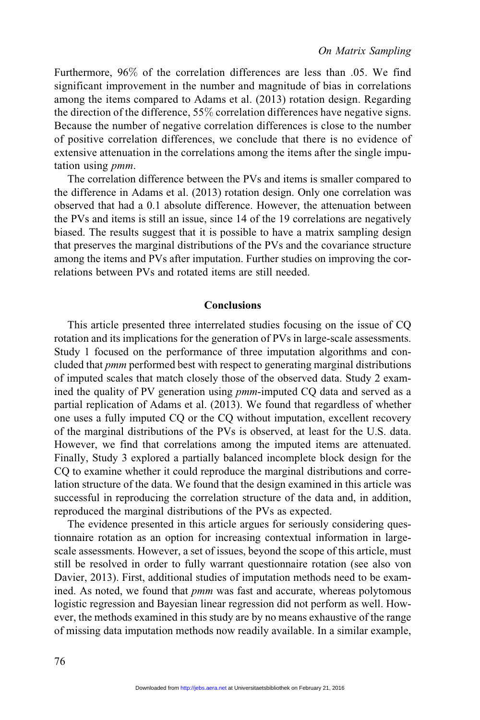Furthermore, 96% of the correlation differences are less than .05. We find significant improvement in the number and magnitude of bias in correlations among the items compared to Adams et al. (2013) rotation design. Regarding the direction of the difference, 55% correlation differences have negative signs. Because the number of negative correlation differences is close to the number of positive correlation differences, we conclude that there is no evidence of extensive attenuation in the correlations among the items after the single imputation using *pmm*.

The correlation difference between the PVs and items is smaller compared to the difference in Adams et al. (2013) rotation design. Only one correlation was observed that had a 0.1 absolute difference. However, the attenuation between the PVs and items is still an issue, since 14 of the 19 correlations are negatively biased. The results suggest that it is possible to have a matrix sampling design that preserves the marginal distributions of the PVs and the covariance structure among the items and PVs after imputation. Further studies on improving the correlations between PVs and rotated items are still needed.

## Conclusions

This article presented three interrelated studies focusing on the issue of CQ rotation and its implications for the generation of PVs in large-scale assessments. Study 1 focused on the performance of three imputation algorithms and concluded that *pmm* performed best with respect to generating marginal distributions of imputed scales that match closely those of the observed data. Study 2 examined the quality of PV generation using pmm-imputed CQ data and served as a partial replication of Adams et al. (2013). We found that regardless of whether one uses a fully imputed CQ or the CQ without imputation, excellent recovery of the marginal distributions of the PVs is observed, at least for the U.S. data. However, we find that correlations among the imputed items are attenuated. Finally, Study 3 explored a partially balanced incomplete block design for the CQ to examine whether it could reproduce the marginal distributions and correlation structure of the data. We found that the design examined in this article was successful in reproducing the correlation structure of the data and, in addition, reproduced the marginal distributions of the PVs as expected.

The evidence presented in this article argues for seriously considering questionnaire rotation as an option for increasing contextual information in largescale assessments. However, a set of issues, beyond the scope of this article, must still be resolved in order to fully warrant questionnaire rotation (see also von Davier, 2013). First, additional studies of imputation methods need to be examined. As noted, we found that *pmm* was fast and accurate, whereas polytomous logistic regression and Bayesian linear regression did not perform as well. However, the methods examined in this study are by no means exhaustive of the range of missing data imputation methods now readily available. In a similar example,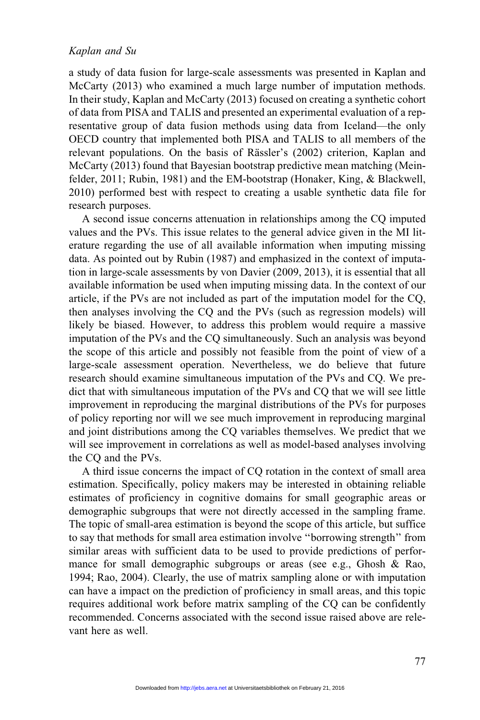a study of data fusion for large-scale assessments was presented in Kaplan and McCarty (2013) who examined a much large number of imputation methods. In their study, Kaplan and McCarty (2013) focused on creating a synthetic cohort of data from PISA and TALIS and presented an experimental evaluation of a representative group of data fusion methods using data from Iceland—the only OECD country that implemented both PISA and TALIS to all members of the relevant populations. On the basis of Rässler's (2002) criterion, Kaplan and McCarty (2013) found that Bayesian bootstrap predictive mean matching (Meinfelder, 2011; Rubin, 1981) and the EM-bootstrap (Honaker, King, & Blackwell, 2010) performed best with respect to creating a usable synthetic data file for research purposes.

A second issue concerns attenuation in relationships among the CQ imputed values and the PVs. This issue relates to the general advice given in the MI literature regarding the use of all available information when imputing missing data. As pointed out by Rubin (1987) and emphasized in the context of imputation in large-scale assessments by von Davier (2009, 2013), it is essential that all available information be used when imputing missing data. In the context of our article, if the PVs are not included as part of the imputation model for the CQ, then analyses involving the CQ and the PVs (such as regression models) will likely be biased. However, to address this problem would require a massive imputation of the PVs and the CQ simultaneously. Such an analysis was beyond the scope of this article and possibly not feasible from the point of view of a large-scale assessment operation. Nevertheless, we do believe that future research should examine simultaneous imputation of the PVs and CQ. We predict that with simultaneous imputation of the PVs and CQ that we will see little improvement in reproducing the marginal distributions of the PVs for purposes of policy reporting nor will we see much improvement in reproducing marginal and joint distributions among the CQ variables themselves. We predict that we will see improvement in correlations as well as model-based analyses involving the CQ and the PVs.

A third issue concerns the impact of CQ rotation in the context of small area estimation. Specifically, policy makers may be interested in obtaining reliable estimates of proficiency in cognitive domains for small geographic areas or demographic subgroups that were not directly accessed in the sampling frame. The topic of small-area estimation is beyond the scope of this article, but suffice to say that methods for small area estimation involve ''borrowing strength'' from similar areas with sufficient data to be used to provide predictions of performance for small demographic subgroups or areas (see e.g., Ghosh & Rao, 1994; Rao, 2004). Clearly, the use of matrix sampling alone or with imputation can have a impact on the prediction of proficiency in small areas, and this topic requires additional work before matrix sampling of the CQ can be confidently recommended. Concerns associated with the second issue raised above are relevant here as well.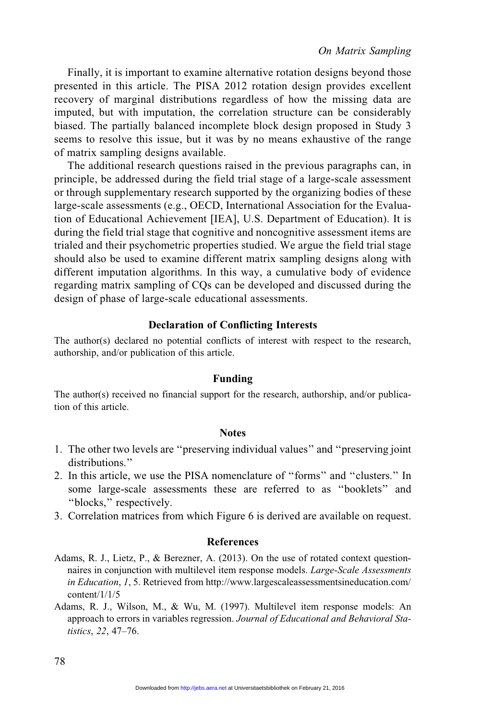Finally, it is important to examine alternative rotation designs beyond those presented in this article. The PISA 2012 rotation design provides excellent recovery of marginal distributions regardless of how the missing data are imputed, but with imputation, the correlation structure can be considerably biased. The partially balanced incomplete block design proposed in Study 3 seems to resolve this issue, but it was by no means exhaustive of the range of matrix sampling designs available.

The additional research questions raised in the previous paragraphs can, in principle, be addressed during the field trial stage of a large-scale assessment or through supplementary research supported by the organizing bodies of these large-scale assessments (e.g., OECD, International Association for the Evaluation of Educational Achievement [IEA], U.S. Department of Education). It is during the field trial stage that cognitive and noncognitive assessment items are trialed and their psychometric properties studied. We argue the field trial stage should also be used to examine different matrix sampling designs along with different imputation algorithms. In this way, a cumulative body of evidence regarding matrix sampling of CQs can be developed and discussed during the design of phase of large-scale educational assessments.

#### Declaration of Conflicting Interests

The author(s) declared no potential conflicts of interest with respect to the research, authorship, and/or publication of this article.

#### Funding

The author(s) received no financial support for the research, authorship, and/or publication of this article.

#### **Notes**

- 1. The other two levels are ''preserving individual values'' and ''preserving joint distributions."
- 2. In this article, we use the PISA nomenclature of ''forms'' and ''clusters.'' In some large-scale assessments these are referred to as ''booklets'' and ''blocks,'' respectively.
- 3. Correlation matrices from which Figure 6 is derived are available on request.

#### References

- Adams, R. J., Lietz, P., & Berezner, A. (2013). On the use of rotated context questionnaires in conjunction with multilevel item response models. Large-Scale Assessments in Education, 1, 5. Retrieved from http://www.largescaleassessmentsineducation.com/ content/1/1/5
- Adams, R. J., Wilson, M., & Wu, M. (1997). Multilevel item response models: An approach to errors in variables regression. Journal of Educational and Behavioral Statistics, 22, 47–76.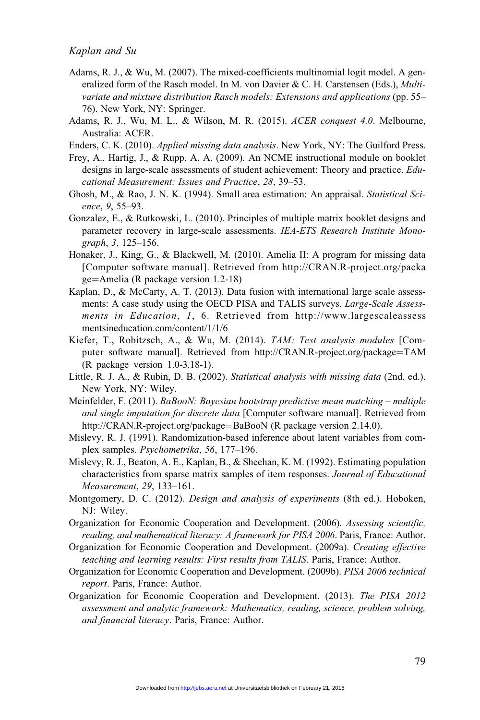- Adams, R. J., & Wu, M. (2007). The mixed-coefficients multinomial logit model. A generalized form of the Rasch model. In M. von Davier & C. H. Carstensen (Eds.), Multivariate and mixture distribution Rasch models: Extensions and applications (pp. 55– 76). New York, NY: Springer.
- Adams, R. J., Wu, M. L., & Wilson, M. R. (2015). ACER conquest 4.0. Melbourne, Australia: ACER.
- Enders, C. K. (2010). Applied missing data analysis. New York, NY: The Guilford Press.
- Frey, A., Hartig, J., & Rupp, A. A. (2009). An NCME instructional module on booklet designs in large-scale assessments of student achievement: Theory and practice. Educational Measurement: Issues and Practice, 28, 39–53.
- Ghosh, M., & Rao, J. N. K. (1994). Small area estimation: An appraisal. Statistical Science, 9, 55–93.
- Gonzalez, E., & Rutkowski, L. (2010). Principles of multiple matrix booklet designs and parameter recovery in large-scale assessments. IEA-ETS Research Institute Monograph, 3, 125–156.
- Honaker, J., King, G., & Blackwell, M. (2010). Amelia II: A program for missing data [Computer software manual]. Retrieved from http://CRAN.R-project.org/packa  $ge=A$ melia (R package version 1.2-18)
- Kaplan, D., & McCarty, A. T. (2013). Data fusion with international large scale assessments: A case study using the OECD PISA and TALIS surveys. Large-Scale Assessments in Education, 1, 6. Retrieved from http://www.largescaleassess mentsineducation.com/content/1/1/6
- Kiefer, T., Robitzsch, A., & Wu, M. (2014). TAM: Test analysis modules [Computer software manual]. Retrieved from http://CRAN.R-project.org/package=TAM (R package version 1.0-3.18-1).
- Little, R. J. A., & Rubin, D. B. (2002). Statistical analysis with missing data (2nd. ed.). New York, NY: Wiley.
- Meinfelder, F. (2011). BaBooN: Bayesian bootstrap predictive mean matching multiple and single imputation for discrete data [Computer software manual]. Retrieved from http://CRAN.R-project.org/package=BaBooN (R package version 2.14.0).
- Mislevy, R. J. (1991). Randomization-based inference about latent variables from complex samples. Psychometrika, 56, 177–196.
- Mislevy, R. J., Beaton, A. E., Kaplan, B., & Sheehan, K. M. (1992). Estimating population characteristics from sparse matrix samples of item responses. Journal of Educational Measurement, 29, 133–161.
- Montgomery, D. C. (2012). Design and analysis of experiments (8th ed.). Hoboken, NJ: Wiley.
- Organization for Economic Cooperation and Development. (2006). Assessing scientific, reading, and mathematical literacy: A framework for PISA 2006. Paris, France: Author.
- Organization for Economic Cooperation and Development. (2009a). Creating effective teaching and learning results: First results from TALIS. Paris, France: Author.
- Organization for Economic Cooperation and Development. (2009b). PISA 2006 technical report. Paris, France: Author.
- Organization for Economic Cooperation and Development. (2013). The PISA 2012 assessment and analytic framework: Mathematics, reading, science, problem solving, and financial literacy. Paris, France: Author.